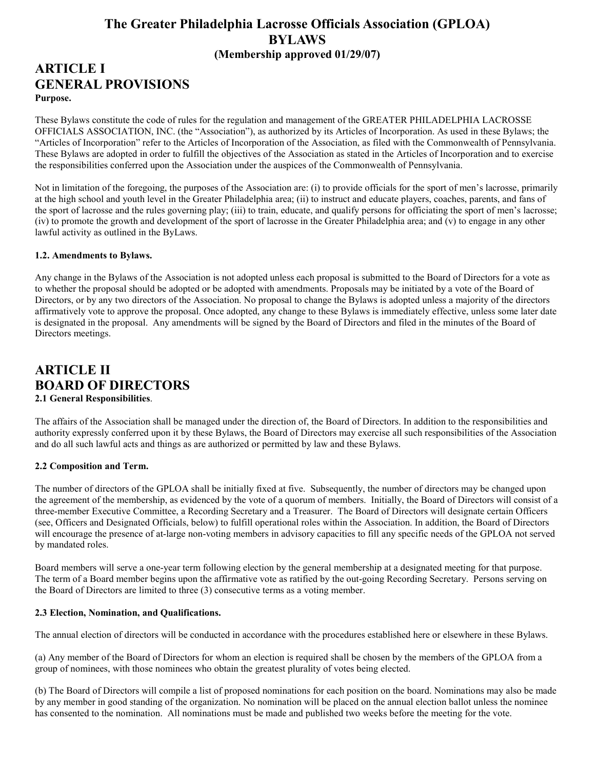# The Greater Philadelphia Lacrosse Officials Association (GPLOA) BYLAWS (Membership approved 01/29/07)

# ARTICLE I GENERAL PROVISIONS Purpose.

These Bylaws constitute the code of rules for the regulation and management of the GREATER PHILADELPHIA LACROSSE OFFICIALS ASSOCIATION, INC. (the "Association"), as authorized by its Articles of Incorporation. As used in these Bylaws; the "Articles of Incorporation" refer to the Articles of Incorporation of the Association, as filed with the Commonwealth of Pennsylvania. These Bylaws are adopted in order to fulfill the objectives of the Association as stated in the Articles of Incorporation and to exercise the responsibilities conferred upon the Association under the auspices of the Commonwealth of Pennsylvania.

Not in limitation of the foregoing, the purposes of the Association are: (i) to provide officials for the sport of men's lacrosse, primarily at the high school and youth level in the Greater Philadelphia area; (ii) to instruct and educate players, coaches, parents, and fans of the sport of lacrosse and the rules governing play; (iii) to train, educate, and qualify persons for officiating the sport of men's lacrosse; (iv) to promote the growth and development of the sport of lacrosse in the Greater Philadelphia area; and (v) to engage in any other lawful activity as outlined in the ByLaws.

## 1.2. Amendments to Bylaws.

Any change in the Bylaws of the Association is not adopted unless each proposal is submitted to the Board of Directors for a vote as to whether the proposal should be adopted or be adopted with amendments. Proposals may be initiated by a vote of the Board of Directors, or by any two directors of the Association. No proposal to change the Bylaws is adopted unless a majority of the directors affirmatively vote to approve the proposal. Once adopted, any change to these Bylaws is immediately effective, unless some later date is designated in the proposal. Any amendments will be signed by the Board of Directors and filed in the minutes of the Board of Directors meetings.

# ARTICLE II BOARD OF DIRECTORS 2.1 General Responsibilities.

The affairs of the Association shall be managed under the direction of, the Board of Directors. In addition to the responsibilities and authority expressly conferred upon it by these Bylaws, the Board of Directors may exercise all such responsibilities of the Association and do all such lawful acts and things as are authorized or permitted by law and these Bylaws.

## 2.2 Composition and Term.

The number of directors of the GPLOA shall be initially fixed at five. Subsequently, the number of directors may be changed upon the agreement of the membership, as evidenced by the vote of a quorum of members. Initially, the Board of Directors will consist of a three-member Executive Committee, a Recording Secretary and a Treasurer. The Board of Directors will designate certain Officers (see, Officers and Designated Officials, below) to fulfill operational roles within the Association. In addition, the Board of Directors will encourage the presence of at-large non-voting members in advisory capacities to fill any specific needs of the GPLOA not served by mandated roles.

Board members will serve a one-year term following election by the general membership at a designated meeting for that purpose. The term of a Board member begins upon the affirmative vote as ratified by the out-going Recording Secretary. Persons serving on the Board of Directors are limited to three (3) consecutive terms as a voting member.

## 2.3 Election, Nomination, and Qualifications.

The annual election of directors will be conducted in accordance with the procedures established here or elsewhere in these Bylaws.

(a) Any member of the Board of Directors for whom an election is required shall be chosen by the members of the GPLOA from a group of nominees, with those nominees who obtain the greatest plurality of votes being elected.

(b) The Board of Directors will compile a list of proposed nominations for each position on the board. Nominations may also be made by any member in good standing of the organization. No nomination will be placed on the annual election ballot unless the nominee has consented to the nomination. All nominations must be made and published two weeks before the meeting for the vote.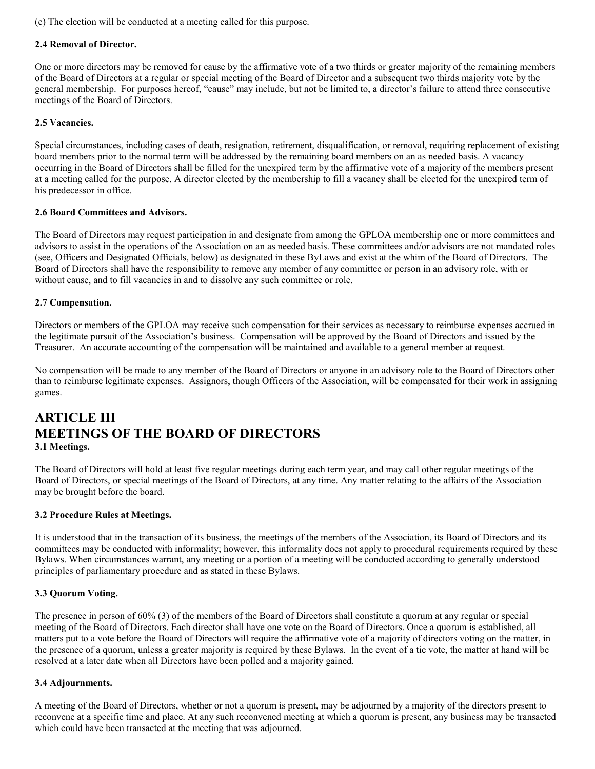(c) The election will be conducted at a meeting called for this purpose.

## 2.4 Removal of Director.

One or more directors may be removed for cause by the affirmative vote of a two thirds or greater majority of the remaining members of the Board of Directors at a regular or special meeting of the Board of Director and a subsequent two thirds majority vote by the general membership. For purposes hereof, "cause" may include, but not be limited to, a director's failure to attend three consecutive meetings of the Board of Directors.

## 2.5 Vacancies.

Special circumstances, including cases of death, resignation, retirement, disqualification, or removal, requiring replacement of existing board members prior to the normal term will be addressed by the remaining board members on an as needed basis. A vacancy occurring in the Board of Directors shall be filled for the unexpired term by the affirmative vote of a majority of the members present at a meeting called for the purpose. A director elected by the membership to fill a vacancy shall be elected for the unexpired term of his predecessor in office.

## 2.6 Board Committees and Advisors.

The Board of Directors may request participation in and designate from among the GPLOA membership one or more committees and advisors to assist in the operations of the Association on an as needed basis. These committees and/or advisors are not mandated roles (see, Officers and Designated Officials, below) as designated in these ByLaws and exist at the whim of the Board of Directors. The Board of Directors shall have the responsibility to remove any member of any committee or person in an advisory role, with or without cause, and to fill vacancies in and to dissolve any such committee or role.

### 2.7 Compensation.

Directors or members of the GPLOA may receive such compensation for their services as necessary to reimburse expenses accrued in the legitimate pursuit of the Association's business. Compensation will be approved by the Board of Directors and issued by the Treasurer. An accurate accounting of the compensation will be maintained and available to a general member at request.

No compensation will be made to any member of the Board of Directors or anyone in an advisory role to the Board of Directors other than to reimburse legitimate expenses. Assignors, though Officers of the Association, will be compensated for their work in assigning games.

# ARTICLE III MEETINGS OF THE BOARD OF DIRECTORS 3.1 Meetings.

The Board of Directors will hold at least five regular meetings during each term year, and may call other regular meetings of the Board of Directors, or special meetings of the Board of Directors, at any time. Any matter relating to the affairs of the Association may be brought before the board.

#### 3.2 Procedure Rules at Meetings.

It is understood that in the transaction of its business, the meetings of the members of the Association, its Board of Directors and its committees may be conducted with informality; however, this informality does not apply to procedural requirements required by these Bylaws. When circumstances warrant, any meeting or a portion of a meeting will be conducted according to generally understood principles of parliamentary procedure and as stated in these Bylaws.

## 3.3 Quorum Voting.

The presence in person of 60% (3) of the members of the Board of Directors shall constitute a quorum at any regular or special meeting of the Board of Directors. Each director shall have one vote on the Board of Directors. Once a quorum is established, all matters put to a vote before the Board of Directors will require the affirmative vote of a majority of directors voting on the matter, in the presence of a quorum, unless a greater majority is required by these Bylaws. In the event of a tie vote, the matter at hand will be resolved at a later date when all Directors have been polled and a majority gained.

#### 3.4 Adjournments.

A meeting of the Board of Directors, whether or not a quorum is present, may be adjourned by a majority of the directors present to reconvene at a specific time and place. At any such reconvened meeting at which a quorum is present, any business may be transacted which could have been transacted at the meeting that was adjourned.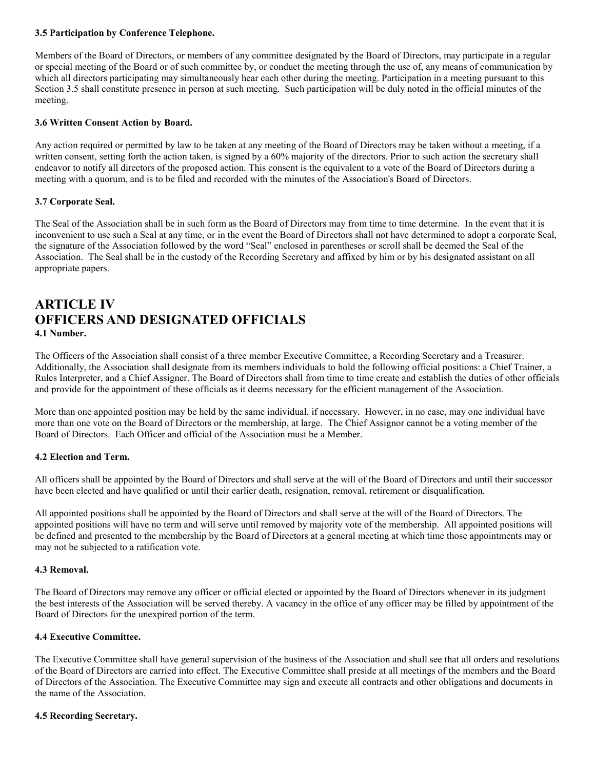## 3.5 Participation by Conference Telephone.

Members of the Board of Directors, or members of any committee designated by the Board of Directors, may participate in a regular or special meeting of the Board or of such committee by, or conduct the meeting through the use of, any means of communication by which all directors participating may simultaneously hear each other during the meeting. Participation in a meeting pursuant to this Section 3.5 shall constitute presence in person at such meeting. Such participation will be duly noted in the official minutes of the meeting.

## 3.6 Written Consent Action by Board.

Any action required or permitted by law to be taken at any meeting of the Board of Directors may be taken without a meeting, if a written consent, setting forth the action taken, is signed by a 60% majority of the directors. Prior to such action the secretary shall endeavor to notify all directors of the proposed action. This consent is the equivalent to a vote of the Board of Directors during a meeting with a quorum, and is to be filed and recorded with the minutes of the Association's Board of Directors.

### 3.7 Corporate Seal.

The Seal of the Association shall be in such form as the Board of Directors may from time to time determine. In the event that it is inconvenient to use such a Seal at any time, or in the event the Board of Directors shall not have determined to adopt a corporate Seal, the signature of the Association followed by the word "Seal" enclosed in parentheses or scroll shall be deemed the Seal of the Association. The Seal shall be in the custody of the Recording Secretary and affixed by him or by his designated assistant on all appropriate papers.

# ARTICLE IV OFFICERS AND DESIGNATED OFFICIALS 4.1 Number.

The Officers of the Association shall consist of a three member Executive Committee, a Recording Secretary and a Treasurer. Additionally, the Association shall designate from its members individuals to hold the following official positions: a Chief Trainer, a Rules Interpreter, and a Chief Assigner. The Board of Directors shall from time to time create and establish the duties of other officials and provide for the appointment of these officials as it deems necessary for the efficient management of the Association.

More than one appointed position may be held by the same individual, if necessary. However, in no case, may one individual have more than one vote on the Board of Directors or the membership, at large. The Chief Assignor cannot be a voting member of the Board of Directors. Each Officer and official of the Association must be a Member.

## 4.2 Election and Term.

All officers shall be appointed by the Board of Directors and shall serve at the will of the Board of Directors and until their successor have been elected and have qualified or until their earlier death, resignation, removal, retirement or disqualification.

All appointed positions shall be appointed by the Board of Directors and shall serve at the will of the Board of Directors. The appointed positions will have no term and will serve until removed by majority vote of the membership. All appointed positions will be defined and presented to the membership by the Board of Directors at a general meeting at which time those appointments may or may not be subjected to a ratification vote.

#### 4.3 Removal.

The Board of Directors may remove any officer or official elected or appointed by the Board of Directors whenever in its judgment the best interests of the Association will be served thereby. A vacancy in the office of any officer may be filled by appointment of the Board of Directors for the unexpired portion of the term.

### 4.4 Executive Committee.

The Executive Committee shall have general supervision of the business of the Association and shall see that all orders and resolutions of the Board of Directors are carried into effect. The Executive Committee shall preside at all meetings of the members and the Board of Directors of the Association. The Executive Committee may sign and execute all contracts and other obligations and documents in the name of the Association.

#### 4.5 Recording Secretary.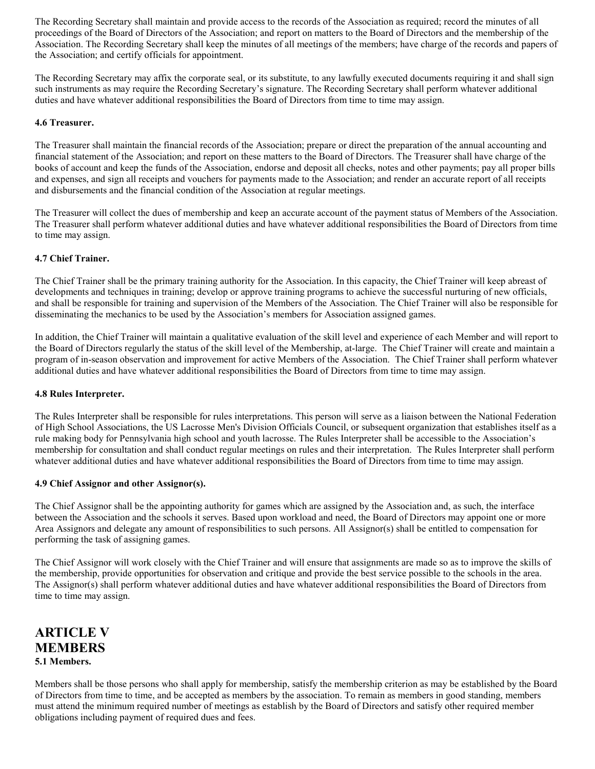The Recording Secretary shall maintain and provide access to the records of the Association as required; record the minutes of all proceedings of the Board of Directors of the Association; and report on matters to the Board of Directors and the membership of the Association. The Recording Secretary shall keep the minutes of all meetings of the members; have charge of the records and papers of the Association; and certify officials for appointment.

The Recording Secretary may affix the corporate seal, or its substitute, to any lawfully executed documents requiring it and shall sign such instruments as may require the Recording Secretary's signature. The Recording Secretary shall perform whatever additional duties and have whatever additional responsibilities the Board of Directors from time to time may assign.

## 4.6 Treasurer.

The Treasurer shall maintain the financial records of the Association; prepare or direct the preparation of the annual accounting and financial statement of the Association; and report on these matters to the Board of Directors. The Treasurer shall have charge of the books of account and keep the funds of the Association, endorse and deposit all checks, notes and other payments; pay all proper bills and expenses, and sign all receipts and vouchers for payments made to the Association; and render an accurate report of all receipts and disbursements and the financial condition of the Association at regular meetings.

The Treasurer will collect the dues of membership and keep an accurate account of the payment status of Members of the Association. The Treasurer shall perform whatever additional duties and have whatever additional responsibilities the Board of Directors from time to time may assign.

### 4.7 Chief Trainer.

The Chief Trainer shall be the primary training authority for the Association. In this capacity, the Chief Trainer will keep abreast of developments and techniques in training; develop or approve training programs to achieve the successful nurturing of new officials, and shall be responsible for training and supervision of the Members of the Association. The Chief Trainer will also be responsible for disseminating the mechanics to be used by the Association's members for Association assigned games.

In addition, the Chief Trainer will maintain a qualitative evaluation of the skill level and experience of each Member and will report to the Board of Directors regularly the status of the skill level of the Membership, at-large. The Chief Trainer will create and maintain a program of in-season observation and improvement for active Members of the Association. The Chief Trainer shall perform whatever additional duties and have whatever additional responsibilities the Board of Directors from time to time may assign.

#### 4.8 Rules Interpreter.

The Rules Interpreter shall be responsible for rules interpretations. This person will serve as a liaison between the National Federation of High School Associations, the US Lacrosse Men's Division Officials Council, or subsequent organization that establishes itself as a rule making body for Pennsylvania high school and youth lacrosse. The Rules Interpreter shall be accessible to the Association's membership for consultation and shall conduct regular meetings on rules and their interpretation. The Rules Interpreter shall perform whatever additional duties and have whatever additional responsibilities the Board of Directors from time to time may assign.

#### 4.9 Chief Assignor and other Assignor(s).

The Chief Assignor shall be the appointing authority for games which are assigned by the Association and, as such, the interface between the Association and the schools it serves. Based upon workload and need, the Board of Directors may appoint one or more Area Assignors and delegate any amount of responsibilities to such persons. All Assignor(s) shall be entitled to compensation for performing the task of assigning games.

The Chief Assignor will work closely with the Chief Trainer and will ensure that assignments are made so as to improve the skills of the membership, provide opportunities for observation and critique and provide the best service possible to the schools in the area. The Assignor(s) shall perform whatever additional duties and have whatever additional responsibilities the Board of Directors from time to time may assign.

# ARTICLE V MEMBERS 5.1 Members.

Members shall be those persons who shall apply for membership, satisfy the membership criterion as may be established by the Board of Directors from time to time, and be accepted as members by the association. To remain as members in good standing, members must attend the minimum required number of meetings as establish by the Board of Directors and satisfy other required member obligations including payment of required dues and fees.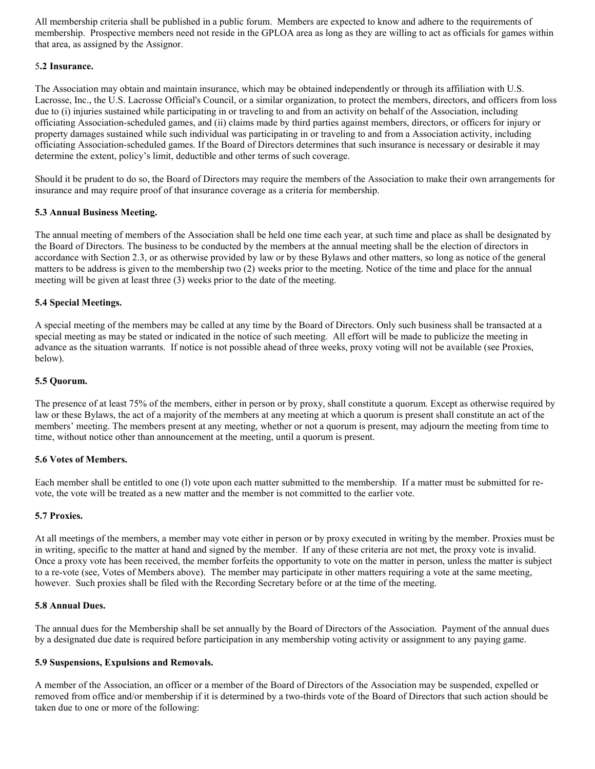All membership criteria shall be published in a public forum. Members are expected to know and adhere to the requirements of membership. Prospective members need not reside in the GPLOA area as long as they are willing to act as officials for games within that area, as assigned by the Assignor.

## 5.2 Insurance.

The Association may obtain and maintain insurance, which may be obtained independently or through its affiliation with U.S. Lacrosse, Inc., the U.S. Lacrosse Official's Council, or a similar organization, to protect the members, directors, and officers from loss due to (i) injuries sustained while participating in or traveling to and from an activity on behalf of the Association, including officiating Association-scheduled games, and (ii) claims made by third parties against members, directors, or officers for injury or property damages sustained while such individual was participating in or traveling to and from a Association activity, including officiating Association-scheduled games. If the Board of Directors determines that such insurance is necessary or desirable it may determine the extent, policy's limit, deductible and other terms of such coverage.

Should it be prudent to do so, the Board of Directors may require the members of the Association to make their own arrangements for insurance and may require proof of that insurance coverage as a criteria for membership.

## 5.3 Annual Business Meeting.

The annual meeting of members of the Association shall be held one time each year, at such time and place as shall be designated by the Board of Directors. The business to be conducted by the members at the annual meeting shall be the election of directors in accordance with Section 2.3, or as otherwise provided by law or by these Bylaws and other matters, so long as notice of the general matters to be address is given to the membership two (2) weeks prior to the meeting. Notice of the time and place for the annual meeting will be given at least three (3) weeks prior to the date of the meeting.

## 5.4 Special Meetings.

A special meeting of the members may be called at any time by the Board of Directors. Only such business shall be transacted at a special meeting as may be stated or indicated in the notice of such meeting. All effort will be made to publicize the meeting in advance as the situation warrants. If notice is not possible ahead of three weeks, proxy voting will not be available (see Proxies, below).

## 5.5 Quorum.

The presence of at least 75% of the members, either in person or by proxy, shall constitute a quorum. Except as otherwise required by law or these Bylaws, the act of a majority of the members at any meeting at which a quorum is present shall constitute an act of the members' meeting. The members present at any meeting, whether or not a quorum is present, may adjourn the meeting from time to time, without notice other than announcement at the meeting, until a quorum is present.

## 5.6 Votes of Members.

Each member shall be entitled to one (l) vote upon each matter submitted to the membership. If a matter must be submitted for revote, the vote will be treated as a new matter and the member is not committed to the earlier vote.

## 5.7 Proxies.

At all meetings of the members, a member may vote either in person or by proxy executed in writing by the member. Proxies must be in writing, specific to the matter at hand and signed by the member. If any of these criteria are not met, the proxy vote is invalid. Once a proxy vote has been received, the member forfeits the opportunity to vote on the matter in person, unless the matter is subject to a re-vote (see, Votes of Members above). The member may participate in other matters requiring a vote at the same meeting, however. Such proxies shall be filed with the Recording Secretary before or at the time of the meeting.

## 5.8 Annual Dues.

The annual dues for the Membership shall be set annually by the Board of Directors of the Association. Payment of the annual dues by a designated due date is required before participation in any membership voting activity or assignment to any paying game.

## 5.9 Suspensions, Expulsions and Removals.

A member of the Association, an officer or a member of the Board of Directors of the Association may be suspended, expelled or removed from office and/or membership if it is determined by a two-thirds vote of the Board of Directors that such action should be taken due to one or more of the following: